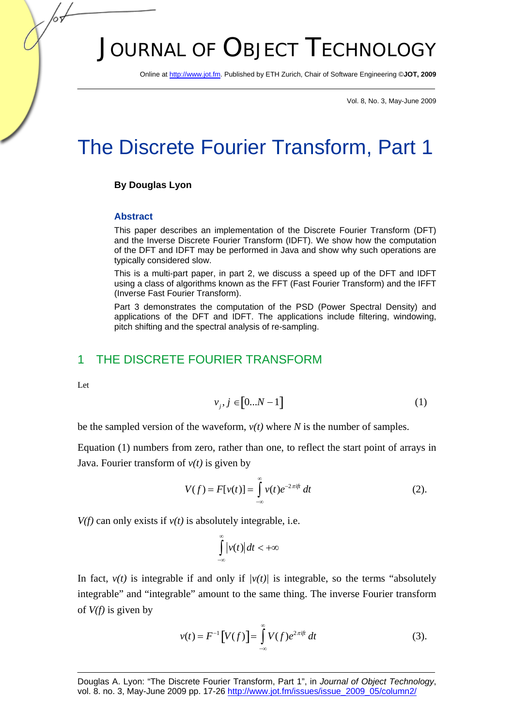# JOURNAL OF OBJECT TECHNOLOGY

Online at http://www.jot.fm. Published by ETH Zurich, Chair of Software Engineering ©**JOT, 2009** 

Vol. 8, No. 3, May-June 2009

## The Discrete Fourier Transform, Part 1

#### **By Douglas Lyon**

#### **Abstract**

This paper describes an implementation of the Discrete Fourier Transform (DFT) and the Inverse Discrete Fourier Transform (IDFT). We show how the computation of the DFT and IDFT may be performed in Java and show why such operations are typically considered slow.

This is a multi-part paper, in part 2, we discuss a speed up of the DFT and IDFT using a class of algorithms known as the FFT (Fast Fourier Transform) and the IFFT (Inverse Fast Fourier Transform).

Part 3 demonstrates the computation of the PSD (Power Spectral Density) and applications of the DFT and IDFT. The applications include filtering, windowing, pitch shifting and the spectral analysis of re-sampling.

## 1 THE DISCRETE FOURIER TRANSFORM

Let

$$
v_j, j \in [0...N-1]
$$
 (1)

be the sampled version of the waveform, *v(t)* where *N* is the number of samples.

Equation (1) numbers from zero, rather than one, to reflect the start point of arrays in Java. Fourier transform of  $v(t)$  is given by

$$
V(f) = F[v(t)] = \int_{-\infty}^{\infty} v(t)e^{-2\pi ift} dt
$$
 (2).

 $V(f)$  can only exists if  $v(t)$  is absolutely integrable, i.e.

$$
\int_{-\infty}^{\infty} |v(t)| dt < +\infty
$$

In fact,  $v(t)$  is integrable if and only if  $|v(t)|$  is integrable, so the terms "absolutely integrable" and "integrable" amount to the same thing. The inverse Fourier transform of *V(f)* is given by

$$
v(t) = F^{-1}[V(f)] = \int_{-\infty}^{\infty} V(f)e^{2\pi i f t} dt
$$
 (3).

Douglas A. Lyon: "The Discrete Fourier Transform, Part 1", in *Journal of Object Technology*, vol. 8. no. 3, May-June 2009 pp. 17-26 http://www.jot.fm/issues/issue\_2009\_05/column2/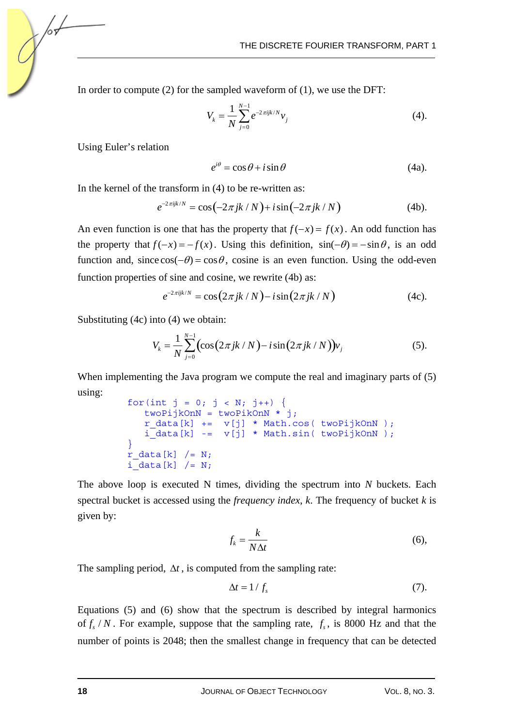In order to compute (2) for the sampled waveform of (1), we use the DFT:

$$
V_k = \frac{1}{N} \sum_{j=0}^{N-1} e^{-2\pi i j k/N} v_j
$$
 (4).

Using Euler's relation

$$
e^{i\theta} = \cos\theta + i\sin\theta \tag{4a}
$$

In the kernel of the transform in (4) to be re-written as:

$$
e^{-2\pi i j k/N} = \cos(-2\pi j k / N) + i \sin(-2\pi j k / N)
$$
 (4b).

An even function is one that has the property that  $f(-x) = f(x)$ . An odd function has the property that  $f(-x) = -f(x)$ . Using this definition,  $sin(-\theta) = -sin \theta$ , is an odd function and, since  $\cos(-\theta) = \cos \theta$ , cosine is an even function. Using the odd-even function properties of sine and cosine, we rewrite (4b) as:

$$
e^{-2\pi i jk/N} = \cos(2\pi jk/N) - i\sin(2\pi jk/N)
$$
 (4c).

Substituting (4c) into (4) we obtain:

$$
V_k = \frac{1}{N} \sum_{j=0}^{N-1} \left( \cos(2\pi jk/N) - i \sin(2\pi jk/N) \right) v_j \tag{5}.
$$

When implementing the Java program we compute the real and imaginary parts of (5) using:

```
for(int j = 0; j < N; j++) {
    twoPijkOnN = twoPikOnN * j; 
   r_{data[k]} += v[j] * Math.cos(twoPijkOnN);
   i data[k] -= v[j] * Math.sin( twoPijkOnN );
 } 
r_{data[k]} /= N;
i data[k] /= N;
```
The above loop is executed N times, dividing the spectrum into *N* buckets. Each spectral bucket is accessed using the *frequency index*, *k*. The frequency of bucket *k* is given by:

$$
f_k = \frac{k}{N\Delta t} \tag{6}
$$

The sampling period,  $\Delta t$ , is computed from the sampling rate:

$$
\Delta t = 1/f_s \tag{7}.
$$

Equations (5) and (6) show that the spectrum is described by integral harmonics of  $f_s/N$ . For example, suppose that the sampling rate,  $f_s$ , is 8000 Hz and that the number of points is 2048; then the smallest change in frequency that can be detected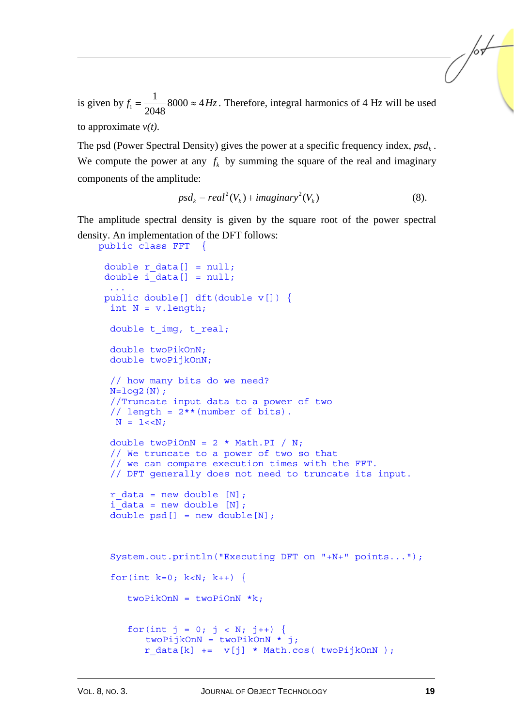is given by  $f_1 = \frac{1}{2048}$ 8000  $\approx$  4*Hz*. Therefore, integral harmonics of 4 Hz will be used

to approximate *v(t)*.

public class FFT {

The psd (Power Spectral Density) gives the power at a specific frequency index,  $psd<sub>k</sub>$ . We compute the power at any  $f_k$  by summing the square of the real and imaginary components of the amplitude:

$$
psdk = real2(Vk) + imaginary2(Vk)
$$
 (8).

The amplitude spectral density is given by the square root of the power spectral density. An implementation of the DFT follows:

```
double r data[] = null;double i data[] = null; ... 
 public double[] dft(double v[]) { 
 int N = v.length;double t imq, t real;
  double twoPikOnN; 
  double twoPijkOnN; 
  // how many bits do we need? 
 N = log2(N); //Truncate input data to a power of two 
 // length = 2** (number of bits).
 N = 1 < N;double twoPiOnN = 2 * Math.PI / N; // We truncate to a power of two so that 
  // we can compare execution times with the FFT. 
  // DFT generally does not need to truncate its input. 
 r_{data} = new double [N];
  i_data = new double [N]; 
 double psd[] = new double[N];
  System.out.println("Executing DFT on "+N+" points..."); 
 for(int k=0; k<N; k++) {
    twoPikOnN = twoPionN *k;for(int j = 0; j < N; j++) {
        twoPijkOnN = twoPikOnN * j; 
       r \text{ data}[k] += v[j] * \text{Math.} \cos(\text{twoPi} / k \text{OnN});
```
/sŁ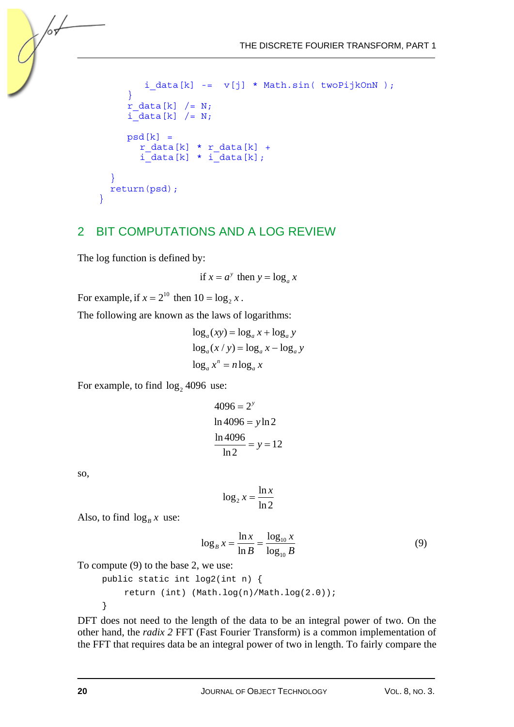```
i_{data[k]} -= v[j] * Math.sin( twoPijkOnN );
       } 
      r data[k] / = N;i\_data[k] /= N;
      psd[k] =r data[k] * r data[k] +
         i data[k] * i data[k];
\rightarrow }
    return(psd); 
  }
```
## 2 BIT COMPUTATIONS AND A LOG REVIEW

The log function is defined by:

if  $x = a^y$  then  $y = \log_a x$ 

For example, if  $x = 2^{10}$  then  $10 = \log_2 x$ .

The following are known as the laws of logarithms:

$$
\log_a(xy) = \log_a x + \log_a y
$$
  

$$
\log_a(x/y) = \log_a x - \log_a y
$$
  

$$
\log_a x^n = n \log_a x
$$

For example, to find  $log_2 4096$  use:

$$
4096 = 2y
$$
  
ln 4096 = y ln 2  

$$
\frac{\ln 4096}{\ln 2} = y = 12
$$

so,

/оъ

$$
\log_2 x = \frac{\ln x}{\ln 2}
$$

Also, to find  $\log_B x$  use:

$$
\log_B x = \frac{\ln x}{\ln B} = \frac{\log_{10} x}{\log_{10} B}
$$
 (9)

To compute (9) to the base 2, we use:

```
 public static int log2(int n) { 
     return (int) (Math.log(n)/Math.log(2.0)); 
 }
```
DFT does not need to the length of the data to be an integral power of two. On the other hand, the *radix 2* FFT (Fast Fourier Transform) is a common implementation of the FFT that requires data be an integral power of two in length. To fairly compare the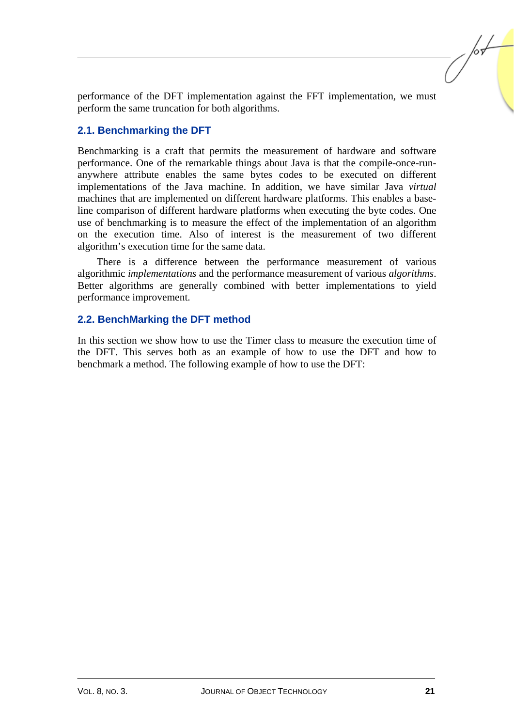performance of the DFT implementation against the FFT implementation, we must perform the same truncation for both algorithms.

### **2.1. Benchmarking the DFT**

Benchmarking is a craft that permits the measurement of hardware and software performance. One of the remarkable things about Java is that the compile-once-runanywhere attribute enables the same bytes codes to be executed on different implementations of the Java machine. In addition, we have similar Java *virtual* machines that are implemented on different hardware platforms. This enables a baseline comparison of different hardware platforms when executing the byte codes. One use of benchmarking is to measure the effect of the implementation of an algorithm on the execution time. Also of interest is the measurement of two different algorithm's execution time for the same data.

There is a difference between the performance measurement of various algorithmic *implementations* and the performance measurement of various *algorithms*. Better algorithms are generally combined with better implementations to yield performance improvement.

#### **2.2. BenchMarking the DFT method**

In this section we show how to use the Timer class to measure the execution time of the DFT. This serves both as an example of how to use the DFT and how to benchmark a method. The following example of how to use the DFT: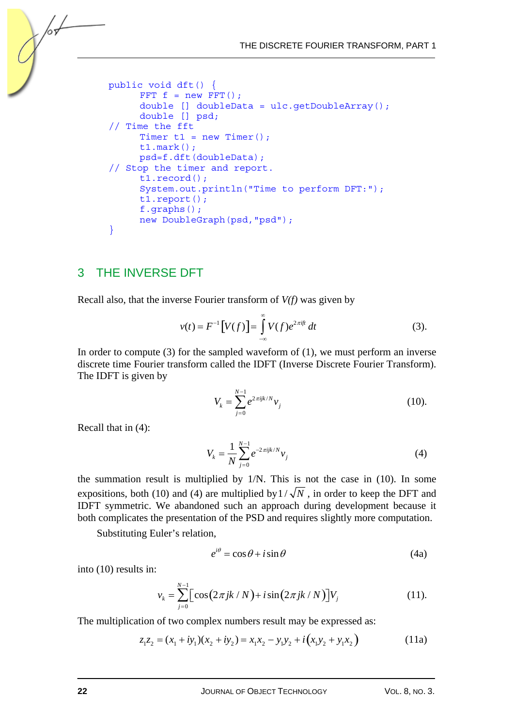```
 public void dft() { 
      FFT f = new FFT();
       double [] doubleData = ulc.getDoubleArray(); 
       double [] psd; 
 // Time the fft 
      Timer t1 = new Timer();
       t1.mark(); 
      psd=f.dft(doubleData); 
 // Stop the timer and report. 
       t1.record(); 
       System.out.println("Time to perform DFT:"); 
       t1.report(); 
       f.graphs(); 
       new DoubleGraph(psd,"psd"); 
 }
```
## 3 THE INVERSE DFT

/оъ

Recall also, that the inverse Fourier transform of *V(f)* was given by

$$
v(t) = F^{-1}[V(f)] = \int_{-\infty}^{\infty} V(f)e^{2\pi i f t} dt
$$
 (3).

In order to compute  $(3)$  for the sampled waveform of  $(1)$ , we must perform an inverse discrete time Fourier transform called the IDFT (Inverse Discrete Fourier Transform). The IDFT is given by

$$
V_k = \sum_{j=0}^{N-1} e^{2\pi i j k / N} v_j
$$
 (10).

Recall that in (4):

$$
V_k = \frac{1}{N} \sum_{j=0}^{N-1} e^{-2\pi i j k/N} v_j
$$
 (4)

the summation result is multiplied by 1/N. This is not the case in (10). In some expositions, both (10) and (4) are multiplied by  $1/\sqrt{N}$ , in order to keep the DFT and IDFT symmetric. We abandoned such an approach during development because it both complicates the presentation of the PSD and requires slightly more computation.

Substituting Euler's relation,

$$
e^{i\theta} = \cos\theta + i\sin\theta \tag{4a}
$$

into (10) results in:

$$
v_k = \sum_{j=0}^{N-1} \Big[ \cos(2\pi jk / N) + i \sin(2\pi jk / N) \Big] V_j \tag{11}
$$

The multiplication of two complex numbers result may be expressed as:

$$
z_1 z_2 = (x_1 + iy_1)(x_2 + iy_2) = x_1 x_2 - y_1 y_2 + i(x_1 y_2 + y_1 x_2)
$$
\n(11a)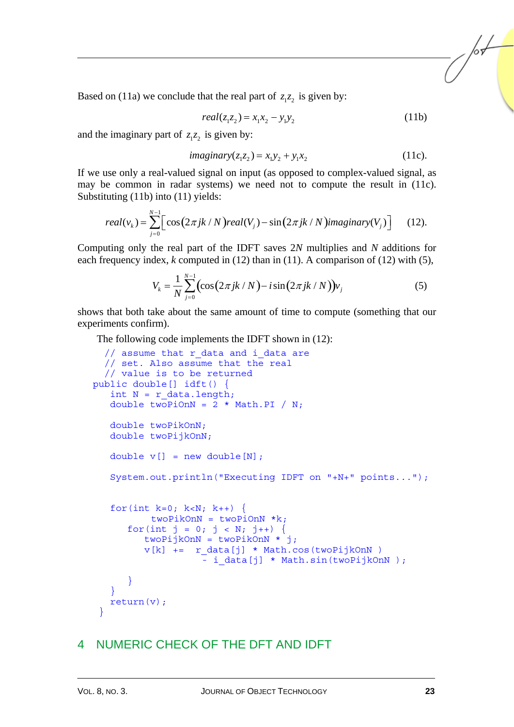Based on (11a) we conclude that the real part of  $z_1z_2$  is given by:

$$
real(z_1 z_2) = x_1 x_2 - y_1 y_2 \tag{11b}
$$

and the imaginary part of  $z_1z_2$  is given by:

$$
imaginary(z_1z_2) = x_1y_2 + y_1x_2 \tag{11c}.
$$

If we use only a real-valued signal on input (as opposed to complex-valued signal, as may be common in radar systems) we need not to compute the result in (11c). Substituting (11b) into (11) yields:

$$
real(v_k) = \sum_{j=0}^{N-1} \Big[ cos(2\pi jk / N) real(V_j) - sin(2\pi jk / N) imaginary(V_j) \Big] \qquad (12).
$$

Computing only the real part of the IDFT saves 2*N* multiplies and *N* additions for each frequency index, *k* computed in (12) than in (11). A comparison of (12) with (5),

$$
V_k = \frac{1}{N} \sum_{j=0}^{N-1} \left( \cos(2\pi jk/N) - i \sin(2\pi jk/N) \right) v_j \tag{5}
$$

shows that both take about the same amount of time to compute (something that our experiments confirm).

The following code implements the IDFT shown in (12):

```
// assume that r data and i data are
   // set. Also assume that the real 
   // value is to be returned 
public double[] idft() { 
   int N = r data.length;
   double twoPiOnN = 2 * Math.PI / N; double twoPikOnN; 
    double twoPijkOnN; 
   double v[] = new double[N]; System.out.println("Executing IDFT on "+N+" points..."); 
   for(int k=0; k<N; k++) {
           twoPikOnN = twoPionN *k;for(int j = 0; j < N; j++) {
          twoPijkOnN = twoPikOnN * j;v[k] += r data[j] * Math.cos(twoPijkOnN )
                      - i data[j] * Math.sin(twoPijkOnN );
 } 
\left\{\begin{array}{cc} 1 & 1 \\ 1 & 1 \end{array}\right\} return(v); 
  }
```
## 4 NUMERIC CHECK OF THE DFT AND IDFT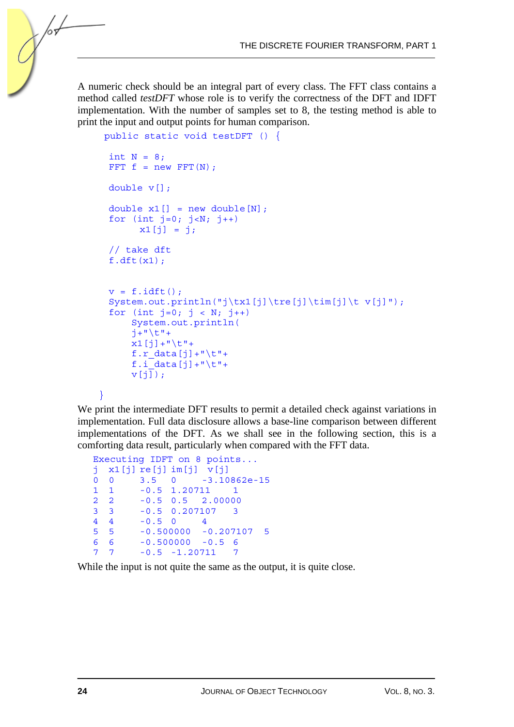A numeric check should be an integral part of every class. The FFT class contains a method called *testDFT* whose role is to verify the correctness of the DFT and IDFT implementation. With the number of samples set to 8, the testing method is able to print the input and output points for human comparison.

```
 public static void testDFT () { 
 int N = 8;
 FFT f = new FFT(N);
  double v[]; 
 double x1[] = new double[N];
 for (int j=0; j<N; j++)x1[j] = j; // take dft 
 f.df(t(x1);v = f.idft();
 System.out.println("j\tx1[j]\tre[j]\tim[j]\t v[j]");
 for (int j=0; j < N; j++) System.out.println( 
      j+"\setminus t"+
      x1[j]+" \t"+
       f.r_data[j]+"\t"+ 
      f.i data[j]+"\t"+
     v[i];
 }
```
hч

We print the intermediate DFT results to permit a detailed check against variations in implementation. Full data disclosure allows a base-line comparison between different implementations of the DFT. As we shall see in the following section, this is a comforting data result, particularly when compared with the FFT data.

```
Executing IDFT on 8 points... 
j x1[j] re[j] im[j] v[j] 
       0 0 3.5 0 -3.10862e-15 
1 1 -0.5 1.20711 1 
2 2 -0.5 0.5 2.00000 
3 3 -0.5 0.207107 3 
4 4 -0.5 0 4 
5 5 -0.500000 -0.207107 5 
6 6 -0.500000 -0.5 6 
7 7 -0.5 -1.20711 7
```
While the input is not quite the same as the output, it is quite close.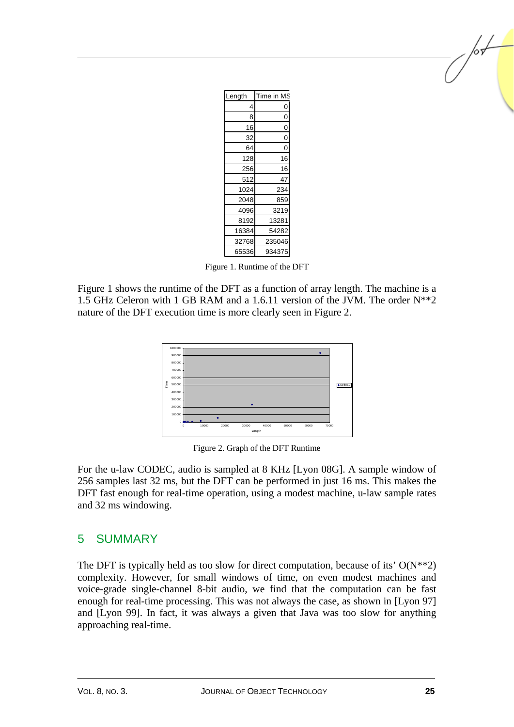| Length | Time in MS     |
|--------|----------------|
| 4      | 0              |
| 8      | 0              |
| 16     | 0              |
| 32     | $\overline{0}$ |
| 64     | O              |
| 128    | 16             |
| 256    | 16             |
| 512    | 47             |
| 1024   | 234            |
| 2048   | 859            |
| 4096   | 3219           |
| 8192   | 13281          |
| 16384  | 54282          |
| 32768  | 235046         |
| 65536  | 934375         |

Figure 1. Runtime of the DFT

Figure 1 shows the runtime of the DFT as a function of array length. The machine is a 1.5 GHz Celeron with 1 GB RAM and a 1.6.11 version of the JVM. The order N\*\*2 nature of the DFT execution time is more clearly seen in Figure 2.



Figure 2. Graph of the DFT Runtime

For the u-law CODEC, audio is sampled at 8 KHz [Lyon 08G]. A sample window of 256 samples last 32 ms, but the DFT can be performed in just 16 ms. This makes the DFT fast enough for real-time operation, using a modest machine, u-law sample rates and 32 ms windowing.

## 5 SUMMARY

The DFT is typically held as too slow for direct computation, because of its'  $O(N^{**}2)$ complexity. However, for small windows of time, on even modest machines and voice-grade single-channel 8-bit audio, we find that the computation can be fast enough for real-time processing. This was not always the case, as shown in [Lyon 97] and [Lyon 99]. In fact, it was always a given that Java was too slow for anything approaching real-time.